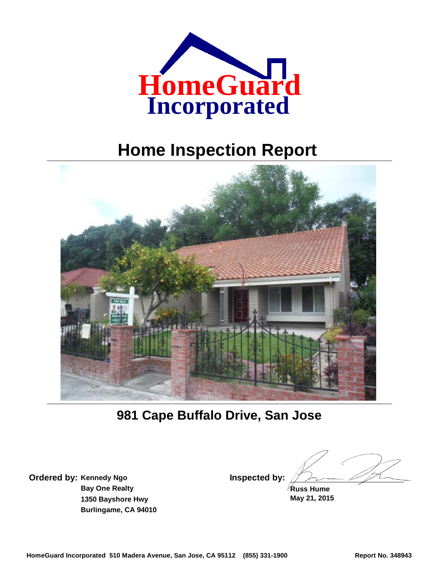

# **Home Inspection Report**



**981 Cape Buffalo Drive, San Jose**

**Kennedy Ngo Ordered by: Inspected by: Bay One Realty 1350 Bayshore Hwy Burlingame, CA 94010**

**May 21, 2015 Russ Hume**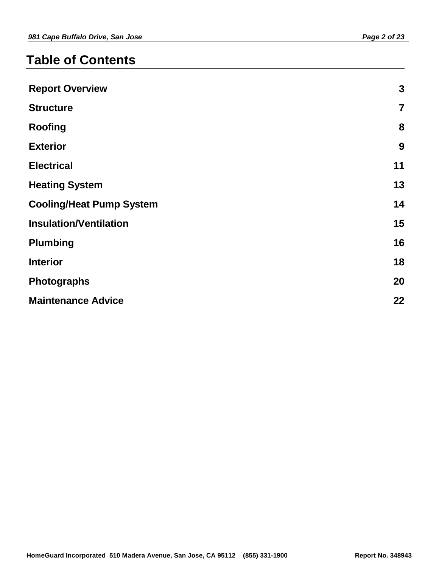## **Table of Contents**

| <b>Report Overview</b>          | $\boldsymbol{3}$        |
|---------------------------------|-------------------------|
| <b>Structure</b>                | $\overline{\mathbf{7}}$ |
| <b>Roofing</b>                  | 8                       |
| <b>Exterior</b>                 | 9                       |
| <b>Electrical</b>               | 11                      |
| <b>Heating System</b>           | 13                      |
| <b>Cooling/Heat Pump System</b> | 14                      |
| <b>Insulation/Ventilation</b>   | 15                      |
| <b>Plumbing</b>                 | 16                      |
| <b>Interior</b>                 | 18                      |
| <b>Photographs</b>              | 20                      |
| <b>Maintenance Advice</b>       | 22                      |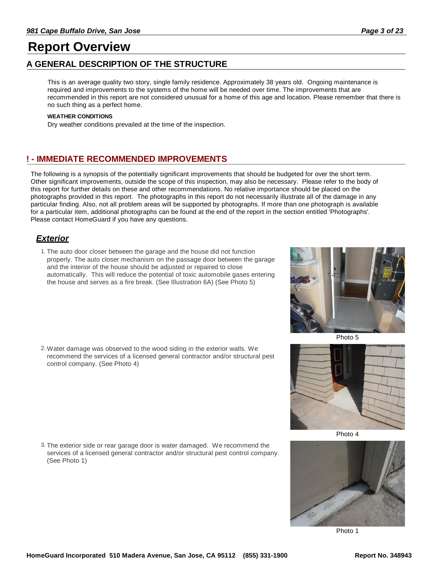### **Report Overview**

### **A GENERAL DESCRIPTION OF THE STRUCTURE**

This is an average quality two story, single family residence. Approximately 38 years old. Ongoing maintenance is required and improvements to the systems of the home will be needed over time. The improvements that are recommended in this report are not considered unusual for a home of this age and location. Please remember that there is no such thing as a perfect home.

#### **WEATHER CONDITIONS**

Dry weather conditions prevailed at the time of the inspection.

### **! - IMMEDIATE RECOMMENDED IMPROVEMENTS**

The following is a synopsis of the potentially significant improvements that should be budgeted for over the short term. Other significant improvements, outside the scope of this inspection, may also be necessary. Please refer to the body of this report for further details on these and other recommendations. No relative importance should be placed on the photographs provided in this report. The photographs in this report do not necessarily illustrate all of the damage in any particular finding. Also, not all problem areas will be supported by photographs. If more than one photograph is available for a particular item, additional photographs can be found at the end of the report in the section entitled 'Photographs'. Please contact HomeGuard if you have any questions.

### *Exterior*

1. The auto door closer between the garage and the house did not function properly. The auto closer mechanism on the passage door between the garage and the interior of the house should be adjusted or repaired to close automatically. This will reduce the potential of toxic automobile gases entering the house and serves as a fire break. (See Illustration 6A) (See Photo 5)

Water damage was observed to the wood siding in the exterior walls. We 2. recommend the services of a licensed general contractor and/or structural pest control company. (See Photo 4)

3. The exterior side or rear garage door is water damaged. We recommend the services of a licensed general contractor and/or structural pest control company. (See Photo 1)











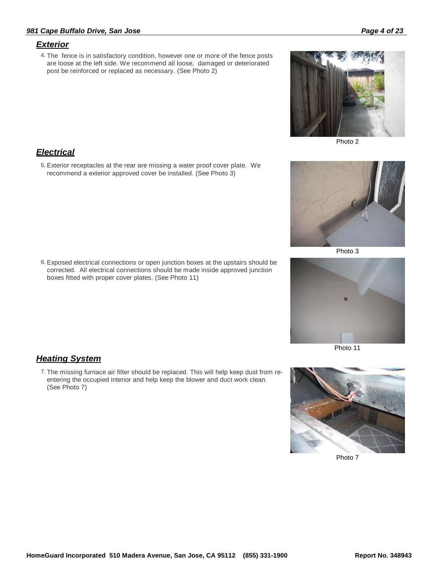### *Exterior*

4. The fence is in satisfactory condition, however one or more of the fence posts are loose at the left side. We recommend all loose, damaged or deteriorated post be reinforced or replaced as necessary. (See Photo 2)



Exterior receptacles at the rear are missing a water proof cover plate. We 5. recommend a exterior approved cover be installed. (See Photo 3)

Exposed electrical connections or open junction boxes at the upstairs should be 6. corrected. All electrical connections should be made inside approved junction boxes fitted with proper cover plates. (See Photo 11)

### *Heating System*

7. The missing furnace air filter should be replaced. This will help keep dust from reentering the occupied interior and help keep the blower and duct work clean. (See Photo 7)



Photo 7



Photo 2



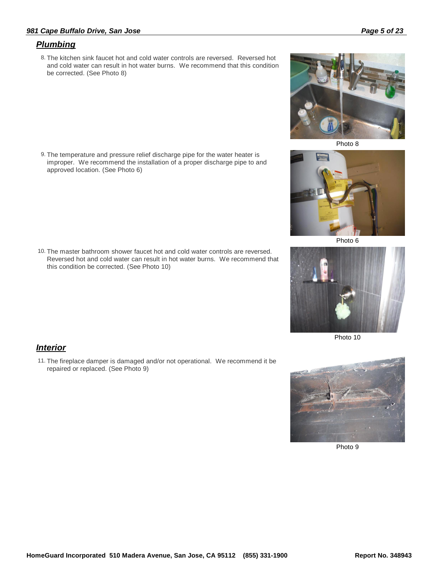### *981 Cape Buffalo Drive, San Jose Page 5 of 23*

### *Plumbing*

8. The kitchen sink faucet hot and cold water controls are reversed. Reversed hot and cold water can result in hot water burns. We recommend that this condition be corrected. (See Photo 8)

The temperature and pressure relief discharge pipe for the water heater is 9. improper. We recommend the installation of a proper discharge pipe to and approved location. (See Photo 6)

10. The master bathroom shower faucet hot and cold water controls are reversed. Reversed hot and cold water can result in hot water burns. We recommend that this condition be corrected. (See Photo 10)

### *Interior*

11. The fireplace damper is damaged and/or not operational. We recommend it be repaired or replaced. (See Photo 9)



Photo 8



Photo 6



Photo 10



Photo 9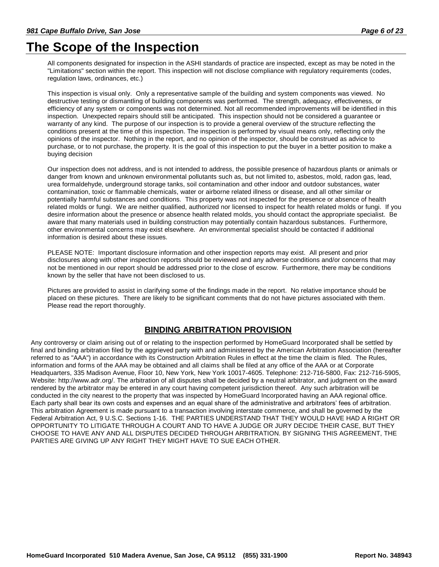## **The Scope of the Inspection**

All components designated for inspection in the ASHI standards of practice are inspected, except as may be noted in the "Limitations" section within the report. This inspection will not disclose compliance with regulatory requirements (codes, regulation laws, ordinances, etc.)

This inspection is visual only. Only a representative sample of the building and system components was viewed. No destructive testing or dismantling of building components was performed. The strength, adequacy, effectiveness, or efficiency of any system or components was not determined. Not all recommended improvements will be identified in this inspection. Unexpected repairs should still be anticipated. This inspection should not be considered a guarantee or warranty of any kind. The purpose of our inspection is to provide a general overview of the structure reflecting the conditions present at the time of this inspection. The inspection is performed by visual means only, reflecting only the opinions of the inspector. Nothing in the report, and no opinion of the inspector, should be construed as advice to purchase, or to not purchase, the property. It is the goal of this inspection to put the buyer in a better position to make a buying decision

Our inspection does not address, and is not intended to address, the possible presence of hazardous plants or animals or danger from known and unknown environmental pollutants such as, but not limited to, asbestos, mold, radon gas, lead, urea formaldehyde, underground storage tanks, soil contamination and other indoor and outdoor substances, water contamination, toxic or flammable chemicals, water or airborne related illness or disease, and all other similar or potentially harmful substances and conditions. This property was not inspected for the presence or absence of health related molds or fungi. We are neither qualified, authorized nor licensed to inspect for health related molds or fungi. If you desire information about the presence or absence health related molds, you should contact the appropriate specialist. Be aware that many materials used in building construction may potentially contain hazardous substances. Furthermore, other environmental concerns may exist elsewhere. An environmental specialist should be contacted if additional information is desired about these issues.

PLEASE NOTE: Important disclosure information and other inspection reports may exist. All present and prior disclosures along with other inspection reports should be reviewed and any adverse conditions and/or concerns that may not be mentioned in our report should be addressed prior to the close of escrow. Furthermore, there may be conditions known by the seller that have not been disclosed to us.

Pictures are provided to assist in clarifying some of the findings made in the report. No relative importance should be placed on these pictures. There are likely to be significant comments that do not have pictures associated with them. Please read the report thoroughly.

### **BINDING ARBITRATION PROVISION**

Any controversy or claim arising out of or relating to the inspection performed by HomeGuard Incorporated shall be settled by final and binding arbitration filed by the aggrieved party with and administered by the American Arbitration Association (hereafter referred to as "AAA") in accordance with its Construction Arbitration Rules in effect at the time the claim is filed. The Rules, information and forms of the AAA may be obtained and all claims shall be filed at any office of the AAA or at Corporate Headquarters, 335 Madison Avenue, Floor 10, New York, New York 10017-4605. Telephone: 212-716-5800, Fax: 212-716-5905, Website: http://www.adr.org/. The arbitration of all disputes shall be decided by a neutral arbitrator, and judgment on the award rendered by the arbitrator may be entered in any court having competent jurisdiction thereof. Any such arbitration will be conducted in the city nearest to the property that was inspected by HomeGuard Incorporated having an AAA regional office. Each party shall bear its own costs and expenses and an equal share of the administrative and arbitrators' fees of arbitration. This arbitration Agreement is made pursuant to a transaction involving interstate commerce, and shall be governed by the Federal Arbitration Act, 9 U.S.C. Sections 1-16. THE PARTIES UNDERSTAND THAT THEY WOULD HAVE HAD A RIGHT OR OPPORTUNITY TO LITIGATE THROUGH A COURT AND TO HAVE A JUDGE OR JURY DECIDE THEIR CASE, BUT THEY CHOOSE TO HAVE ANY AND ALL DISPUTES DECIDED THROUGH ARBITRATION. BY SIGNING THIS AGREEMENT, THE PARTIES ARE GIVING UP ANY RIGHT THEY MIGHT HAVE TO SUE EACH OTHER.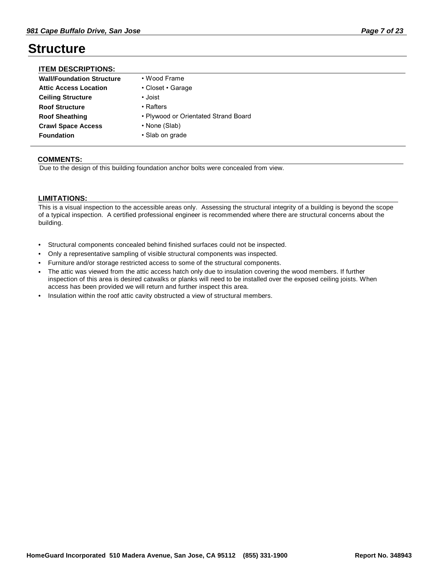### **Structure**

| <b>ITEM DESCRIPTIONS:</b>        |                                      |
|----------------------------------|--------------------------------------|
| <b>Wall/Foundation Structure</b> | • Wood Frame                         |
| <b>Attic Access Location</b>     | • Closet • Garage                    |
| <b>Ceiling Structure</b>         | • Joist                              |
| <b>Roof Structure</b>            | • Rafters                            |
| <b>Roof Sheathing</b>            | • Plywood or Orientated Strand Board |
| <b>Crawl Space Access</b>        | • None (Slab)                        |
| <b>Foundation</b>                | • Slab on grade                      |

### **COMMENTS:**

Due to the design of this building foundation anchor bolts were concealed from view.

### **LIMITATIONS:**

This is a visual inspection to the accessible areas only. Assessing the structural integrity of a building is beyond the scope of a typical inspection. A certified professional engineer is recommended where there are structural concerns about the building.

- Structural components concealed behind finished surfaces could not be inspected.
- Only a representative sampling of visible structural components was inspected.
- Furniture and/or storage restricted access to some of the structural components.
- The attic was viewed from the attic access hatch only due to insulation covering the wood members. If further inspection of this area is desired catwalks or planks will need to be installed over the exposed ceiling joists. When access has been provided we will return and further inspect this area. •
- Insulation within the roof attic cavity obstructed a view of structural members.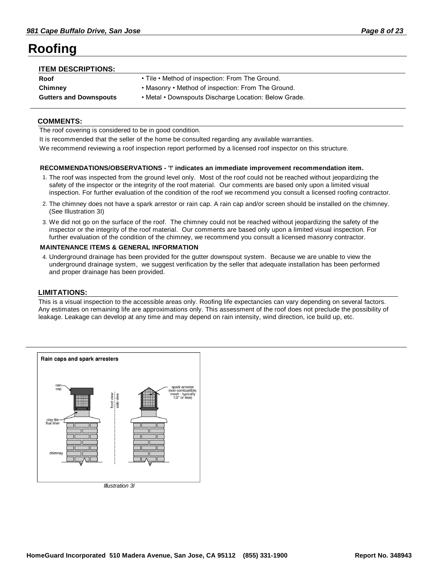## **Roofing**

| <b>ITEM DESCRIPTIONS:</b>     |                                                       |
|-------------------------------|-------------------------------------------------------|
| Roof                          | • Tile • Method of inspection: From The Ground.       |
| Chimney                       | • Masonry • Method of inspection: From The Ground.    |
| <b>Gutters and Downspouts</b> | • Metal • Downspouts Discharge Location: Below Grade. |
|                               |                                                       |

### **COMMENTS:**

The roof covering is considered to be in good condition.

It is recommended that the seller of the home be consulted regarding any available warranties.

We recommend reviewing a roof inspection report performed by a licensed roof inspector on this structure.

#### **RECOMMENDATIONS/OBSERVATIONS - '!' indicates an immediate improvement recommendation item.**

- 1. The roof was inspected from the ground level only. Most of the roof could not be reached without jeopardizing the safety of the inspector or the integrity of the roof material. Our comments are based only upon a limited visual inspection. For further evaluation of the condition of the roof we recommend you consult a licensed roofing contractor.
- The chimney does not have a spark arrestor or rain cap. A rain cap and/or screen should be installed on the chimney. 2. (See Illustration 3I)
- We did not go on the surface of the roof. The chimney could not be reached without jeopardizing the safety of the 3. inspector or the integrity of the roof material. Our comments are based only upon a limited visual inspection. For further evaluation of the condition of the chimney, we recommend you consult a licensed masonry contractor.

### **MAINTENANCE ITEMS & GENERAL INFORMATION**

Underground drainage has been provided for the gutter downspout system. Because we are unable to view the 4. underground drainage system, we suggest verification by the seller that adequate installation has been performed and proper drainage has been provided.

### **LIMITATIONS:**

This is a visual inspection to the accessible areas only. Roofing life expectancies can vary depending on several factors. Any estimates on remaining life are approximations only. This assessment of the roof does not preclude the possibility of leakage. Leakage can develop at any time and may depend on rain intensity, wind direction, ice build up, etc.

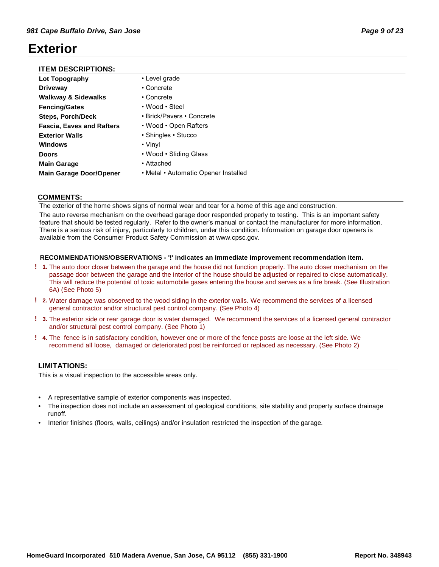## **Exterior**

| <b>ITEM DESCRIPTIONS:</b> |  |
|---------------------------|--|
|---------------------------|--|

| 11 LW PLOONI 110110.             |                                      |
|----------------------------------|--------------------------------------|
| Lot Topography                   | • Level grade                        |
| <b>Driveway</b>                  | • Concrete                           |
| <b>Walkway &amp; Sidewalks</b>   | • Concrete                           |
| <b>Fencing/Gates</b>             | • Wood • Steel                       |
| <b>Steps, Porch/Deck</b>         | • Brick/Pavers • Concrete            |
| <b>Fascia, Eaves and Rafters</b> | • Wood • Open Rafters                |
| <b>Exterior Walls</b>            | • Shingles • Stucco                  |
| <b>Windows</b>                   | • Vinyl                              |
| <b>Doors</b>                     | • Wood • Sliding Glass               |
| <b>Main Garage</b>               | • Attached                           |
| <b>Main Garage Door/Opener</b>   | • Metal • Automatic Opener Installed |

### **COMMENTS:**

The exterior of the home shows signs of normal wear and tear for a home of this age and construction.

The auto reverse mechanism on the overhead garage door responded properly to testing. This is an important safety feature that should be tested regularly. Refer to the owner's manual or contact the manufacturer for more information. There is a serious risk of injury, particularly to children, under this condition. Information on garage door openers is available from the Consumer Product Safety Commission at www.cpsc.gov.

### **RECOMMENDATIONS/OBSERVATIONS - '!' indicates an immediate improvement recommendation item.**

- The auto door closer between the garage and the house did not function properly. The auto closer mechanism on the **! 1.** passage door between the garage and the interior of the house should be adjusted or repaired to close automatically. This will reduce the potential of toxic automobile gases entering the house and serves as a fire break. (See Illustration 6A) (See Photo 5)
- Water damage was observed to the wood siding in the exterior walls. We recommend the services of a licensed **! 2.** general contractor and/or structural pest control company. (See Photo 4)
- The exterior side or rear garage door is water damaged. We recommend the services of a licensed general contractor **! 3.** and/or structural pest control company. (See Photo 1)
- The fence is in satisfactory condition, however one or more of the fence posts are loose at the left side. We **! 4.** recommend all loose, damaged or deteriorated post be reinforced or replaced as necessary. (See Photo 2)

### **LIMITATIONS:**

This is a visual inspection to the accessible areas only.

- A representative sample of exterior components was inspected.
- The inspection does not include an assessment of geological conditions, site stability and property surface drainage runoff. •
- Interior finishes (floors, walls, ceilings) and/or insulation restricted the inspection of the garage.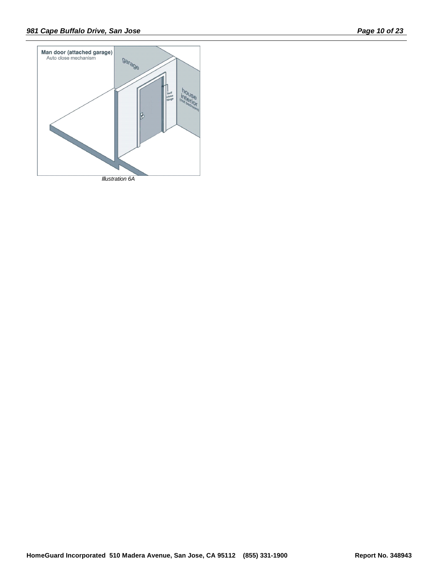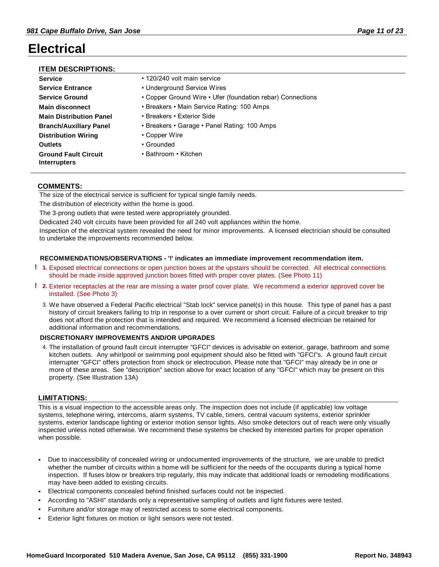## **Electrical**

### **ITEM DESCRIPTIONS:**

| <b>Service</b>                                     | • 120/240 volt main service                                |
|----------------------------------------------------|------------------------------------------------------------|
| <b>Service Entrance</b>                            | • Underground Service Wires                                |
| <b>Service Ground</b>                              | • Copper Ground Wire • Ufer (foundation rebar) Connections |
| <b>Main disconnect</b>                             | • Breakers • Main Service Rating: 100 Amps                 |
| <b>Main Distribution Panel</b>                     | • Breakers • Exterior Side                                 |
| <b>Branch/Auxillary Panel</b>                      | • Breakers • Garage • Panel Rating: 100 Amps               |
| <b>Distribution Wiring</b>                         | • Copper Wire                                              |
| <b>Outlets</b>                                     | • Grounded                                                 |
| <b>Ground Fault Circuit</b><br><b>Interrupters</b> | • Bathroom • Kitchen                                       |

### **COMMENTS:**

The size of the electrical service is sufficient for typical single family needs.

The distribution of electricity within the home is good.

The 3-prong outlets that were tested were appropriately grounded.

Dedicated 240 volt circuits have been provided for all 240 volt appliances within the home.

Inspection of the electrical system revealed the need for minor improvements. A licensed electrician should be consulted to undertake the improvements recommended below.

#### **RECOMMENDATIONS/OBSERVATIONS - '!' indicates an immediate improvement recommendation item.**

- Exposed electrical connections or open junction boxes at the upstairs should be corrected. All electrical connections **! 1.** should be made inside approved junction boxes fitted with proper cover plates. (See Photo 11)
- Exterior receptacles at the rear are missing a water proof cover plate. We recommend a exterior approved cover be **! 2.** installed. (See Photo 3)
	- 3. We have observed a Federal Pacific electrical "Stab lock" service panel(s) in this house. This type of panel has a past history of circuit breakers failing to trip in response to a over current or short circuit. Failure of a circuit breaker to trip does not afford the protection that is intended and required. We recommend a licensed electrician be retained for additional information and recommendations.

#### **DISCRETIONARY IMPROVEMENTS AND/OR UPGRADES**

The installation of ground fault circuit interrupter "GFCI" devices is advisable on exterior, garage, bathroom and some 4. kitchen outlets. Any whirlpool or swimming pool equipment should also be fitted with "GFCI"s. A ground fault circuit interrupter "GFCI" offers protection from shock or electrocution. Please note that "GFCI" may already be in one or more of these areas. See "description" section above for exact location of any "GFCI" which may be present on this property. (See Illustration 13A)

#### **LIMITATIONS:**

This is a visual inspection to the accessible areas only. The inspection does not include (if applicable) low voltage systems, telephone wiring, intercoms, alarm systems, TV cable, timers, central vacuum systems, exterior sprinkler systems, exterior landscape lighting or exterior motion sensor lights. Also smoke detectors out of reach were only visually inspected unless noted otherwise. We recommend these systems be checked by interested parties for proper operation when possible.

- Due to inaccessibility of concealed wiring or undocumented improvements of the structure, we are unable to predict whether the number of circuits within a home will be sufficient for the needs of the occupants during a typical home inspection. If fuses blow or breakers trip regularly, this may indicate that additional loads or remodeling modifications may have been added to existing circuits. •
- Electrical components concealed behind finished surfaces could not be inspected.
- According to "ASHI" standards only a representative sampling of outlets and light fixtures were tested.
- Furniture and/or storage may of restricted access to some electrical components.
- Exterior light fixtures on motion or light sensors were not tested.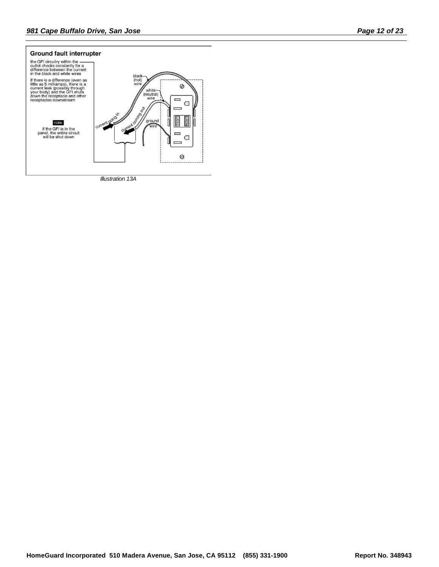

*Illustration 13A*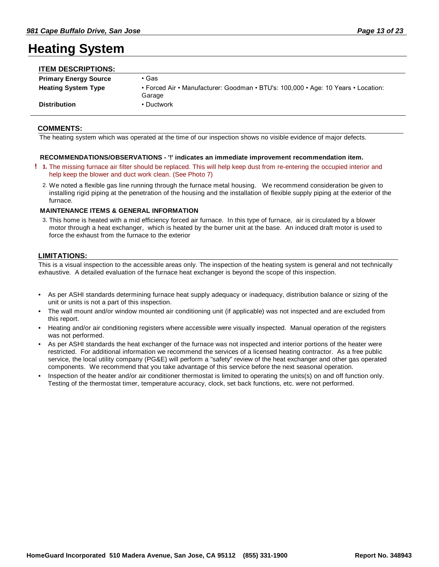## **Heating System**

| <b>ITEM DESCRIPTIONS:</b>    |                                                                                             |
|------------------------------|---------------------------------------------------------------------------------------------|
| <b>Primary Energy Source</b> | • Gas                                                                                       |
| <b>Heating System Type</b>   | • Forced Air • Manufacturer: Goodman • BTU's: 100,000 • Age: 10 Years • Location:<br>Garage |
| <b>Distribution</b>          | • Ductwork                                                                                  |

### **COMMENTS:**

The heating system which was operated at the time of our inspection shows no visible evidence of major defects.

### **RECOMMENDATIONS/OBSERVATIONS - '!' indicates an immediate improvement recommendation item.**

- The missing furnace air filter should be replaced. This will help keep dust from re-entering the occupied interior and **! 1.** help keep the blower and duct work clean. (See Photo 7)
	- We noted a flexible gas line running through the furnace metal housing. We recommend consideration be given to 2. installing rigid piping at the penetration of the housing and the installation of flexible supply piping at the exterior of the furnace.

### **MAINTENANCE ITEMS & GENERAL INFORMATION**

This home is heated with a mid efficiency forced air furnace. In this type of furnace, air is circulated by a blower 3. motor through a heat exchanger, which is heated by the burner unit at the base. An induced draft motor is used to force the exhaust from the furnace to the exterior

### **LIMITATIONS:**

This is a visual inspection to the accessible areas only. The inspection of the heating system is general and not technically exhaustive. A detailed evaluation of the furnace heat exchanger is beyond the scope of this inspection.

- As per ASHI standards determining furnace heat supply adequacy or inadequacy, distribution balance or sizing of the unit or units is not a part of this inspection. •
- The wall mount and/or window mounted air conditioning unit (if applicable) was not inspected and are excluded from this report. •
- Heating and/or air conditioning registers where accessible were visually inspected. Manual operation of the registers was not performed. •
- As per ASHI standards the heat exchanger of the furnace was not inspected and interior portions of the heater were restricted. For additional information we recommend the services of a licensed heating contractor. As a free public service, the local utility company (PG&E) will perform a "safety" review of the heat exchanger and other gas operated components. We recommend that you take advantage of this service before the next seasonal operation. •
- Inspection of the heater and/or air conditioner thermostat is limited to operating the units(s) on and off function only. Testing of the thermostat timer, temperature accuracy, clock, set back functions, etc. were not performed. •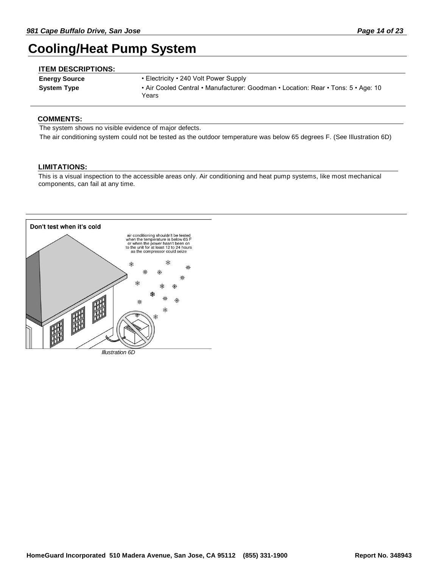## **Cooling/Heat Pump System**

| <b>ITEM DESCRIPTIONS:</b> |                                                                                            |
|---------------------------|--------------------------------------------------------------------------------------------|
| <b>Energy Source</b>      | • Electricity • 240 Volt Power Supply                                                      |
| <b>System Type</b>        | • Air Cooled Central • Manufacturer: Goodman • Location: Rear • Tons: 5 • Age: 10<br>Years |

### **COMMENTS:**

The system shows no visible evidence of major defects.

The air conditioning system could not be tested as the outdoor temperature was below 65 degrees F. (See Illustration 6D)

### **LIMITATIONS:**

This is a visual inspection to the accessible areas only. Air conditioning and heat pump systems, like most mechanical components, can fail at any time.



*Illustration 6D*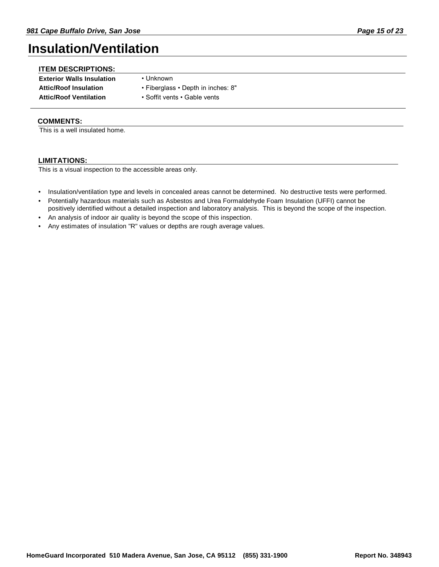## **Insulation/Ventilation**

| <b>ITEM DESCRIPTIONS:</b>        |                                    |
|----------------------------------|------------------------------------|
| <b>Exterior Walls Insulation</b> | • Unknown                          |
| <b>Attic/Roof Insulation</b>     | • Fiberglass • Depth in inches: 8" |
| <b>Attic/Roof Ventilation</b>    | • Soffit vents • Gable vents       |

### **COMMENTS:**

This is a well insulated home.

### **LIMITATIONS:**

This is a visual inspection to the accessible areas only.

- Insulation/ventilation type and levels in concealed areas cannot be determined. No destructive tests were performed.
- Potentially hazardous materials such as Asbestos and Urea Formaldehyde Foam Insulation (UFFI) cannot be positively identified without a detailed inspection and laboratory analysis. This is beyond the scope of the inspection. •
- An analysis of indoor air quality is beyond the scope of this inspection.
- Any estimates of insulation "R" values or depths are rough average values.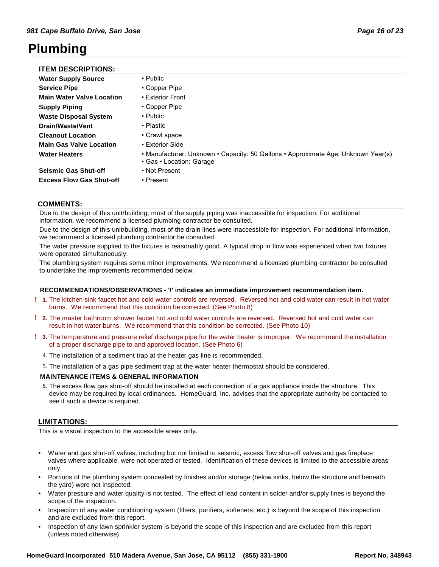## **Plumbing**

### **ITEM DESCRIPTIONS:**

| <b>Water Supply Source</b>       | $\cdot$ Public                                                                                                |
|----------------------------------|---------------------------------------------------------------------------------------------------------------|
| <b>Service Pipe</b>              | • Copper Pipe                                                                                                 |
| <b>Main Water Valve Location</b> | • Exterior Front                                                                                              |
| <b>Supply Piping</b>             | • Copper Pipe                                                                                                 |
| <b>Waste Disposal System</b>     | $\cdot$ Public                                                                                                |
| Drain/Waste/Vent                 | • Plastic                                                                                                     |
| <b>Cleanout Location</b>         | • Crawl space                                                                                                 |
| <b>Main Gas Valve Location</b>   | • Exterior Side                                                                                               |
| <b>Water Heaters</b>             | • Manufacturer: Unknown • Capacity: 50 Gallons • Approximate Age: Unknown Year(s)<br>• Gas • Location: Garage |
| <b>Seismic Gas Shut-off</b>      | • Not Present                                                                                                 |
| <b>Excess Flow Gas Shut-off</b>  | • Present                                                                                                     |

### **COMMENTS:**

Due to the design of this unit/building, most of the supply piping was inaccessible for inspection. For additional information, we recommend a licensed plumbing contractor be consulted.

Due to the design of this unit/building, most of the drain lines were inaccessible for inspection. For additional information, we recommend a licensed plumbing contractor be consulted.

The water pressure supplied to the fixtures is reasonably good. A typical drop in flow was experienced when two fixtures were operated simultaneously.

The plumbing system requires some minor improvements. We recommend a licensed plumbing contractor be consulted to undertake the improvements recommended below.

#### **RECOMMENDATIONS/OBSERVATIONS - '!' indicates an immediate improvement recommendation item.**

- The kitchen sink faucet hot and cold water controls are reversed. Reversed hot and cold water can result in hot water **! 1.** burns. We recommend that this condition be corrected. (See Photo 8)
- The master bathroom shower faucet hot and cold water controls are reversed. Reversed hot and cold water can **! 2.** result in hot water burns. We recommend that this condition be corrected. (See Photo 10)
- The temperature and pressure relief discharge pipe for the water heater is improper. We recommend the installation **! 3.** of a proper discharge pipe to and approved location. (See Photo 6)
	- 4. The installation of a sediment trap at the heater gas line is recommended.
	- 5. The installation of a gas pipe sediment trap at the water heater thermostat should be considered.

#### **MAINTENANCE ITEMS & GENERAL INFORMATION**

The excess flow gas shut-off should be installed at each connection of a gas appliance inside the structure. This 6. device may be required by local ordinances. HomeGuard, Inc. advises that the appropriate authority be contacted to see if such a device is required.

### **LIMITATIONS:**

This is a visual inspection to the accessible areas only.

- Water and gas shut-off valves, including but not limited to seismic, excess flow shut-off valves and gas fireplace valves where applicable, were not operated or tested. Identification of these devices is limited to the accessible areas only. •
- Portions of the plumbing system concealed by finishes and/or storage (below sinks, below the structure and beneath the yard) were not inspected. •
- Water pressure and water quality is not tested. The effect of lead content in solder and/or supply lines is beyond the scope of the inspection. •
- Inspection of any water conditioning system (filters, purifiers, softeners, etc.) is beyond the scope of this inspection and are excluded from this report. •
- Inspection of any lawn sprinkler system is beyond the scope of this inspection and are excluded from this report (unless noted otherwise). •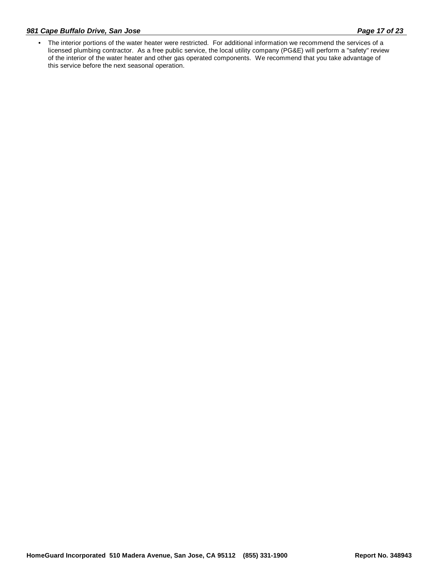### *981 Cape Buffalo Drive, San Jose Page 17 of 23*

The interior portions of the water heater were restricted. For additional information we recommend the services of a • licensed plumbing contractor. As a free public service, the local utility company (PG&E) will perform a "safety" review of the interior of the water heater and other gas operated components. We recommend that you take advantage of this service before the next seasonal operation.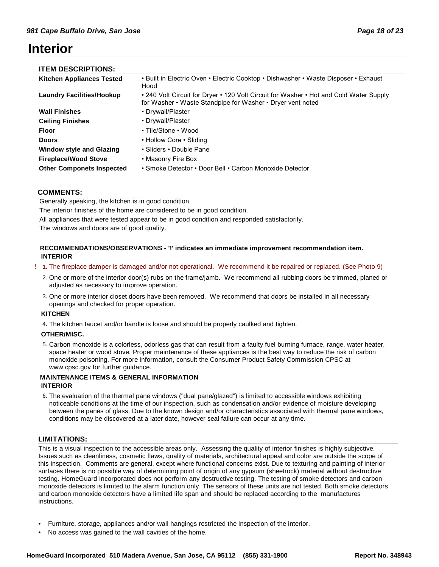## **Interior**

| <b>ITEM DESCRIPTIONS:</b>        |                                                                                                                                                      |
|----------------------------------|------------------------------------------------------------------------------------------------------------------------------------------------------|
| <b>Kitchen Appliances Tested</b> | • Built in Electric Oven • Electric Cooktop • Dishwasher • Waste Disposer • Exhaust<br>Hood                                                          |
| <b>Laundry Facilities/Hookup</b> | • 240 Volt Circuit for Dryer • 120 Volt Circuit for Washer • Hot and Cold Water Supply<br>for Washer • Waste Standpipe for Washer • Dryer vent noted |
| <b>Wall Finishes</b>             | • Drywall/Plaster                                                                                                                                    |
| <b>Ceiling Finishes</b>          | • Drywall/Plaster                                                                                                                                    |
| <b>Floor</b>                     | • Tile/Stone • Wood                                                                                                                                  |
| <b>Doors</b>                     | • Hollow Core • Sliding                                                                                                                              |
| <b>Window style and Glazing</b>  | • Sliders • Double Pane                                                                                                                              |
| <b>Fireplace/Wood Stove</b>      | • Masonry Fire Box                                                                                                                                   |
| <b>Other Componets Inspected</b> | • Smoke Detector • Door Bell • Carbon Monoxide Detector                                                                                              |

### **COMMENTS:**

Generally speaking, the kitchen is in good condition.

The interior finishes of the home are considered to be in good condition.

All appliances that were tested appear to be in good condition and responded satisfactorily.

The windows and doors are of good quality.

### **RECOMMENDATIONS/OBSERVATIONS - '!' indicates an immediate improvement recommendation item. INTERIOR**

#### **! 1.** The fireplace damper is damaged and/or not operational. We recommend it be repaired or replaced. (See Photo 9)

- 2. One or more of the interior door(s) rubs on the frame/jamb. We recommend all rubbing doors be trimmed, planed or adjusted as necessary to improve operation.
- One or more interior closet doors have been removed. We recommend that doors be installed in all necessary 3. openings and checked for proper operation.

#### **KITCHEN**

4. The kitchen faucet and/or handle is loose and should be properly caulked and tighten.

#### **OTHER/MISC.**

5. Carbon monoxide is a colorless, odorless gas that can result from a faulty fuel burning furnace, range, water heater, space heater or wood stove. Proper maintenance of these appliances is the best way to reduce the risk of carbon monoxide poisoning. For more information, consult the Consumer Product Safety Commission CPSC at www.cpsc.gov for further guidance.

### **MAINTENANCE ITEMS & GENERAL INFORMATION INTERIOR**

The evaluation of the thermal pane windows ("dual pane/glazed") is limited to accessible windows exhibiting 6. noticeable conditions at the time of our inspection, such as condensation and/or evidence of moisture developing between the panes of glass. Due to the known design and/or characteristics associated with thermal pane windows, conditions may be discovered at a later date, however seal failure can occur at any time.

### **LIMITATIONS:**

This is a visual inspection to the accessible areas only. Assessing the quality of interior finishes is highly subjective. Issues such as cleanliness, cosmetic flaws, quality of materials, architectural appeal and color are outside the scope of this inspection. Comments are general, except where functional concerns exist. Due to texturing and painting of interior surfaces there is no possible way of determining point of origin of any gypsum (sheetrock) material without destructive testing. HomeGuard Incorporated does not perform any destructive testing. The testing of smoke detectors and carbon monoxide detectors is limited to the alarm function only. The sensors of these units are not tested. Both smoke detectors and carbon monoxide detectors have a limited life span and should be replaced according to the manufactures instructions.

- Furniture, storage, appliances and/or wall hangings restricted the inspection of the interior.
- No access was gained to the wall cavities of the home.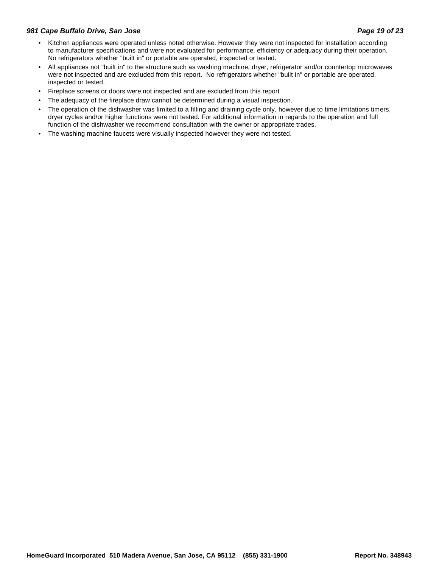- Kitchen appliances were operated unless noted otherwise. However they were not inspected for installation according to manufacturer specifications and were not evaluated for performance, efficiency or adequacy during their operation. No refrigerators whether "built in" or portable are operated, inspected or tested. •
- All appliances not "built in" to the structure such as washing machine, dryer, refrigerator and/or countertop microwaves were not inspected and are excluded from this report. No refrigerators whether "built in" or portable are operated, inspected or tested. •
- Fireplace screens or doors were not inspected and are excluded from this report
- The adequacy of the fireplace draw cannot be determined during a visual inspection.
- The operation of the dishwasher was limited to a filling and draining cycle only, however due to time limitations timers, dryer cycles and/or higher functions were not tested. For additional information in regards to the operation and full function of the dishwasher we recommend consultation with the owner or appropriate trades. •
- The washing machine faucets were visually inspected however they were not tested.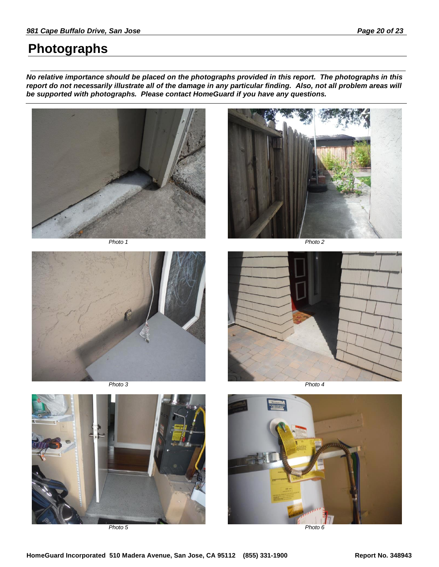## **Photographs**

*No relative importance should be placed on the photographs provided in this report. The photographs in this report do not necessarily illustrate all of the damage in any particular finding. Also, not all problem areas will be supported with photographs. Please contact HomeGuard if you have any questions.*









*Photo 3 Photo 4*



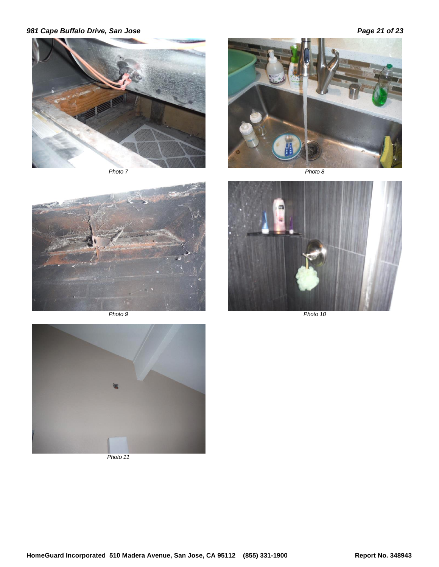### *981 Cape Buffalo Drive, San Jose Page 21 of 23*





*Photo 7 Photo 8*





*Photo 9 Photo 10*



*Photo 11*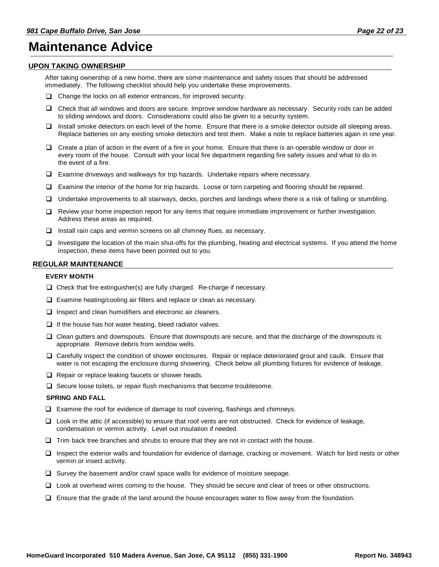### **Maintenance Advice**

### **UPON TAKING OWNERSHIP**

After taking ownership of a new home, there are some maintenance and safety issues that should be addressed immediately. The following checklist should help you undertake these improvements.

- $\Box$  Change the locks on all exterior entrances, for improved security.
- □ Check that all windows and doors are secure. Improve window hardware as necessary. Security rods can be added to sliding windows and doors. Considerations could also be given to a security system.
- $\Box$  Install smoke detectors on each level of the home. Ensure that there is a smoke detector outside all sleeping areas. Replace batteries on any existing smoke detectors and test them. Make a note to replace batteries again in one year.
- $\Box$  Create a plan of action in the event of a fire in your home. Ensure that there is an operable window or door in every room of the house. Consult with your local fire department regarding fire safety issues and what to do in the event of a fire.
- $\square$  Examine driveways and walkways for trip hazards. Undertake repairs where necessary.
- □ Examine the interior of the home for trip hazards. Loose or torn carpeting and flooring should be repaired.
- □ Undertake improvements to all stairways, decks, porches and landings where there is a risk of falling or stumbling.
- □ Review your home inspection report for any items that require immediate improvement or further investigation. Address these areas as required.
- $\Box$  Install rain caps and vermin screens on all chimney flues, as necessary.
- $\Box$  Investigate the location of the main shut-offs for the plumbing, heating and electrical systems. If you attend the home inspection, these items have been pointed out to you.

### **REGULAR MAINTENANCE**

#### **EVERY MONTH**

- $\square$  Check that fire extinguisher(s) are fully charged. Re-charge if necessary.
- $\Box$  Examine heating/cooling air filters and replace or clean as necessary.
- $\Box$  Inspect and clean humidifiers and electronic air cleaners.
- $\Box$  If the house has hot water heating, bleed radiator valves.
- □ Clean gutters and downspouts. Ensure that downspouts are secure, and that the discharge of the downspouts is appropriate. Remove debris from window wells.
- □ Carefully inspect the condition of shower enclosures. Repair or replace deteriorated grout and caulk. Ensure that water is not escaping the enclosure during showering. Check below all plumbing fixtures for evidence of leakage.
- $\square$  Repair or replace leaking faucets or shower heads.
- $\Box$  Secure loose toilets, or repair flush mechanisms that become troublesome.

#### **SPRING AND FALL**

- $\square$  Examine the roof for evidence of damage to roof covering, flashings and chimneys.
- □ Look in the attic (if accessible) to ensure that roof vents are not obstructed. Check for evidence of leakage, condensation or vermin activity. Level out insulation if needed.
- $\Box$  Trim back tree branches and shrubs to ensure that they are not in contact with the house.
- □ Inspect the exterior walls and foundation for evidence of damage, cracking or movement. Watch for bird nests or other vermin or insect activity.
- $\Box$  Survey the basement and/or crawl space walls for evidence of moisture seepage.
- □ Look at overhead wires coming to the house. They should be secure and clear of trees or other obstructions.
- $\Box$  Ensure that the grade of the land around the house encourages water to flow away from the foundation.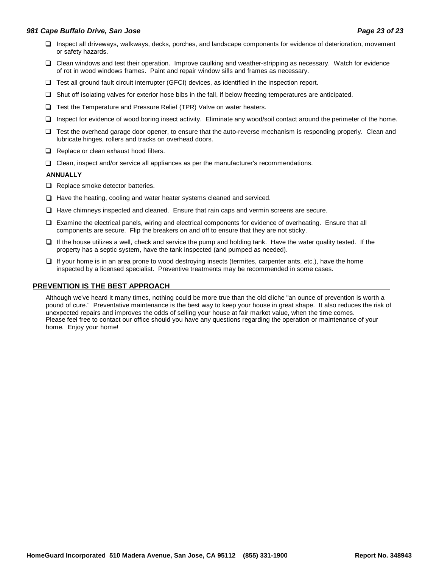### *981 Cape Buffalo Drive, San Jose Page 23 of 23*

- □ Inspect all driveways, walkways, decks, porches, and landscape components for evidence of deterioration, movement or safety hazards.
- □ Clean windows and test their operation. Improve caulking and weather-stripping as necessary. Watch for evidence of rot in wood windows frames. Paint and repair window sills and frames as necessary.
- $\square$  Test all ground fault circuit interrupter (GFCI) devices, as identified in the inspection report.
- $\square$  Shut off isolating valves for exterior hose bibs in the fall, if below freezing temperatures are anticipated.
- $\square$  Test the Temperature and Pressure Relief (TPR) Valve on water heaters.
- □ Inspect for evidence of wood boring insect activity. Eliminate any wood/soil contact around the perimeter of the home.
- □ Test the overhead garage door opener, to ensure that the auto-reverse mechanism is responding properly. Clean and lubricate hinges, rollers and tracks on overhead doors.
- **Q** Replace or clean exhaust hood filters.
- $\Box$  Clean, inspect and/or service all appliances as per the manufacturer's recommendations.

#### **ANNUALLY**

- $\Box$  Replace smoke detector batteries.
- $\Box$  Have the heating, cooling and water heater systems cleaned and serviced.
- $\Box$  Have chimneys inspected and cleaned. Ensure that rain caps and vermin screens are secure.
- □ Examine the electrical panels, wiring and electrical components for evidence of overheating. Ensure that all components are secure. Flip the breakers on and off to ensure that they are not sticky.
- $\Box$  If the house utilizes a well, check and service the pump and holding tank. Have the water quality tested. If the property has a septic system, have the tank inspected (and pumped as needed).
- $\Box$  If your home is in an area prone to wood destroying insects (termites, carpenter ants, etc.), have the home inspected by a licensed specialist. Preventive treatments may be recommended in some cases.

### **PREVENTION IS THE BEST APPROACH**

Although we've heard it many times, nothing could be more true than the old cliche "an ounce of prevention is worth a pound of cure." Preventative maintenance is the best way to keep your house in great shape. It also reduces the risk of unexpected repairs and improves the odds of selling your house at fair market value, when the time comes. Please feel free to contact our office should you have any questions regarding the operation or maintenance of your home. Enjoy your home!